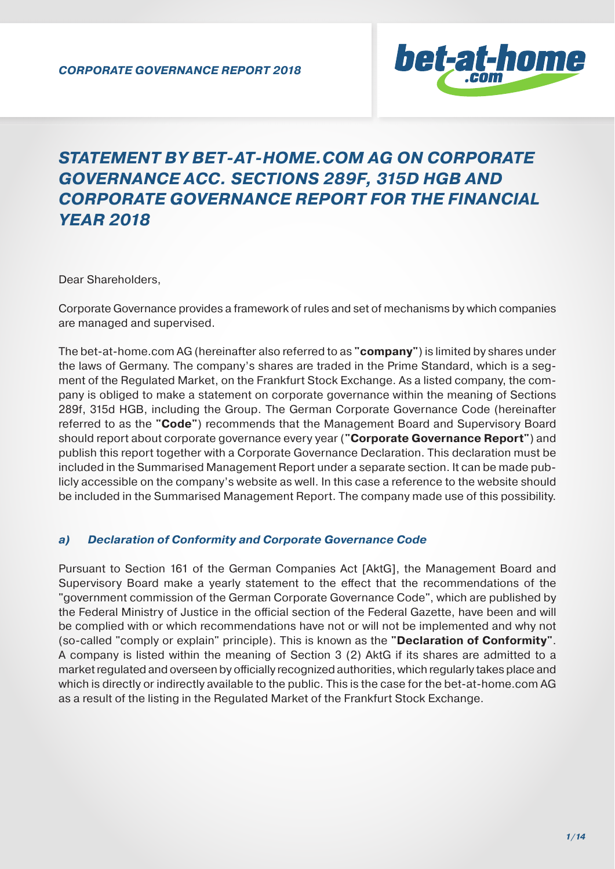

# *STATEMENT BY BET-AT-HOME.COM AG ON CORPORATE GOVERNANCE ACC. SECTIONS 289F, 315D HGB AND CORPORATE GOVERNANCE REPORT FOR THE FINANCIAL YEAR 2018*

Dear Shareholders,

Corporate Governance provides a framework of rules and set of mechanisms by which companies are managed and supervised.

The bet-at-home.com AG (hereinafter also referred to as **"company"**) is limited by shares under the laws of Germany. The company's shares are traded in the Prime Standard, which is a segment of the Regulated Market, on the Frankfurt Stock Exchange. As a listed company, the company is obliged to make a statement on corporate governance within the meaning of Sections 289f, 315d HGB, including the Group. The German Corporate Governance Code (hereinafter referred to as the **"Code"**) recommends that the Management Board and Supervisory Board should report about corporate governance every year (**"Corporate Governance Report"**) and publish this report together with a Corporate Governance Declaration. This declaration must be included in the Summarised Management Report under a separate section. It can be made publicly accessible on the company's website as well. In this case a reference to the website should be included in the Summarised Management Report. The company made use of this possibility.

#### *a) Declaration of Conformity and Corporate Governance Code*

Pursuant to Section 161 of the German Companies Act [AktG], the Management Board and Supervisory Board make a yearly statement to the effect that the recommendations of the "government commission of the German Corporate Governance Code", which are published by the Federal Ministry of Justice in the official section of the Federal Gazette, have been and will be complied with or which recommendations have not or will not be implemented and why not (so-called "comply or explain" principle). This is known as the **"Declaration of Conformity"**. A company is listed within the meaning of Section 3 (2) AktG if its shares are admitted to a market regulated and overseen by officially recognized authorities, which regularly takes place and which is directly or indirectly available to the public. This is the case for the bet-at-home.com AG as a result of the listing in the Regulated Market of the Frankfurt Stock Exchange.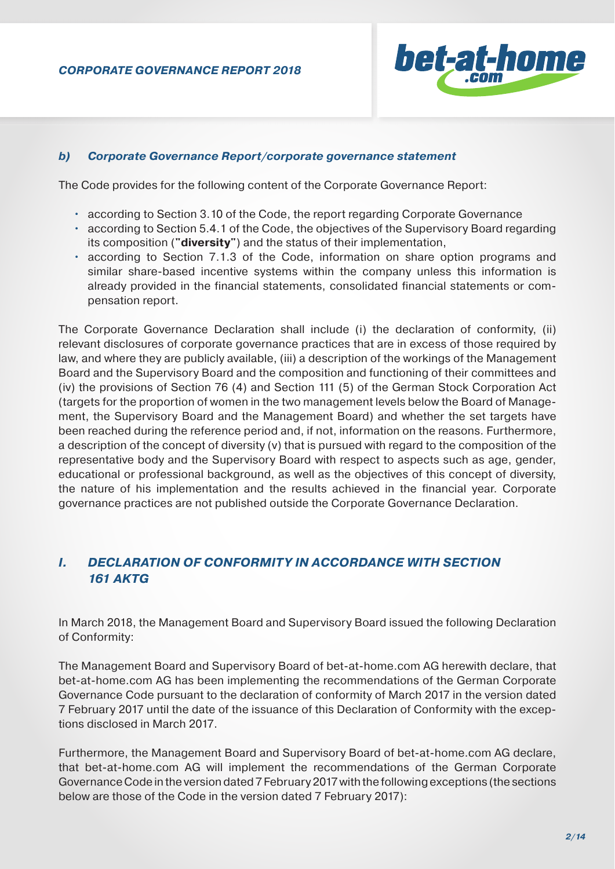

## *b) Corporate Governance Report/corporate governance statement*

The Code provides for the following content of the Corporate Governance Report:

- according to Section 3.10 of the Code, the report regarding Corporate Governance
- according to Section 5.4.1 of the Code, the objectives of the Supervisory Board regarding its composition (**"diversity"**) and the status of their implementation,
- according to Section 7.1.3 of the Code, information on share option programs and similar share-based incentive systems within the company unless this information is already provided in the financial statements, consolidated financial statements or compensation report.

The Corporate Governance Declaration shall include (i) the declaration of conformity, (ii) relevant disclosures of corporate governance practices that are in excess of those required by law, and where they are publicly available, (iii) a description of the workings of the Management Board and the Supervisory Board and the composition and functioning of their committees and (iv) the provisions of Section 76 (4) and Section 111 (5) of the German Stock Corporation Act (targets for the proportion of women in the two management levels below the Board of Management, the Supervisory Board and the Management Board) and whether the set targets have been reached during the reference period and, if not, information on the reasons. Furthermore, a description of the concept of diversity (v) that is pursued with regard to the composition of the representative body and the Supervisory Board with respect to aspects such as age, gender, educational or professional background, as well as the objectives of this concept of diversity, the nature of his implementation and the results achieved in the financial year. Corporate governance practices are not published outside the Corporate Governance Declaration.

## *I. DECLARATION OF CONFORMITY IN ACCORDANCE WITH SECTION 161 AKTG*

In March 2018, the Management Board and Supervisory Board issued the following Declaration of Conformity:

The Management Board and Supervisory Board of bet-at-home.com AG herewith declare, that bet-at-home.com AG has been implementing the recommendations of the German Corporate Governance Code pursuant to the declaration of conformity of March 2017 in the version dated 7 February 2017 until the date of the issuance of this Declaration of Conformity with the exceptions disclosed in March 2017.

Furthermore, the Management Board and Supervisory Board of bet-at-home.com AG declare, that bet-at-home.com AG will implement the recommendations of the German Corporate Governance Code in the version dated 7 February 2017 with the following exceptions (the sections below are those of the Code in the version dated 7 February 2017):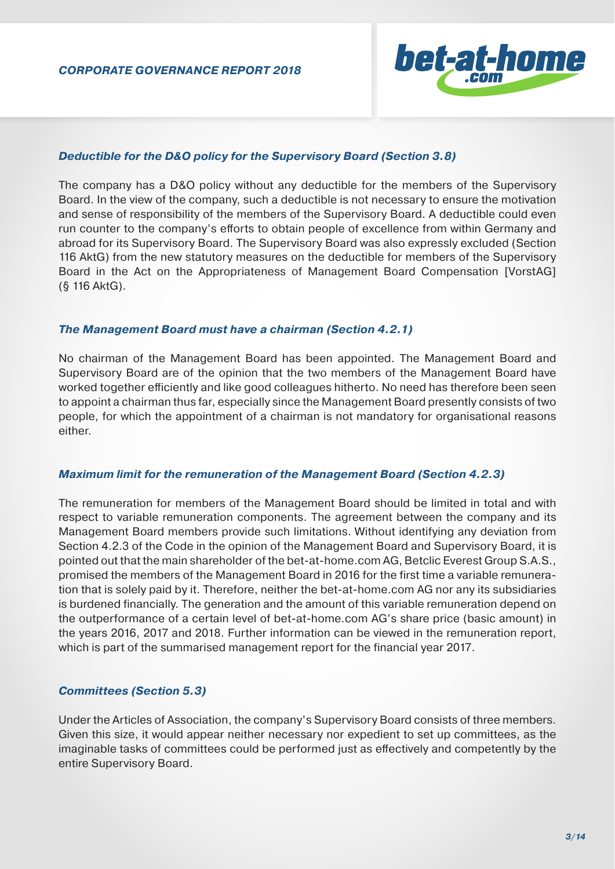

#### *Deductible for the D&O policy for the Supervisory Board (Section 3.8)*

The company has a D&O policy without any deductible for the members of the Supervisory Board. In the view of the company, such a deductible is not necessary to ensure the motivation and sense of responsibility of the members of the Supervisory Board. A deductible could even run counter to the company's efforts to obtain people of excellence from within Germany and abroad for its Supervisory Board. The Supervisory Board was also expressly excluded (Section 116 AktG) from the new statutory measures on the deductible for members of the Supervisory Board in the Act on the Appropriateness of Management Board Compensation [VorstAG] (§ 116 AktG).

#### *The Management Board must have a chairman (Section 4.2.1)*

No chairman of the Management Board has been appointed. The Management Board and Supervisory Board are of the opinion that the two members of the Management Board have worked together efficiently and like good colleagues hitherto. No need has therefore been seen to appoint a chairman thus far, especially since the Management Board presently consists of two people, for which the appointment of a chairman is not mandatory for organisational reasons either.

#### *Maximum limit for the remuneration of the Management Board (Section 4.2.3)*

The remuneration for members of the Management Board should be limited in total and with respect to variable remuneration components. The agreement between the company and its Management Board members provide such limitations. Without identifying any deviation from Section 4.2.3 of the Code in the opinion of the Management Board and Supervisory Board, it is pointed out that the main shareholder of the bet-at-home.com AG, Betclic Everest Group S.A.S., promised the members of the Management Board in 2016 for the first time a variable remuneration that is solely paid by it. Therefore, neither the bet-at-home.com AG nor any its subsidiaries is burdened financially. The generation and the amount of this variable remuneration depend on the outperformance of a certain level of bet-at-home.com AG's share price (basic amount) in the years 2016, 2017 and 2018. Further information can be viewed in the remuneration report, which is part of the summarised management report for the financial year 2017.

#### *Committees (Section 5.3)*

Under the Articles of Association, the company's Supervisory Board consists of three members. Given this size, it would appear neither necessary nor expedient to set up committees, as the imaginable tasks of committees could be performed just as effectively and competently by the entire Supervisory Board.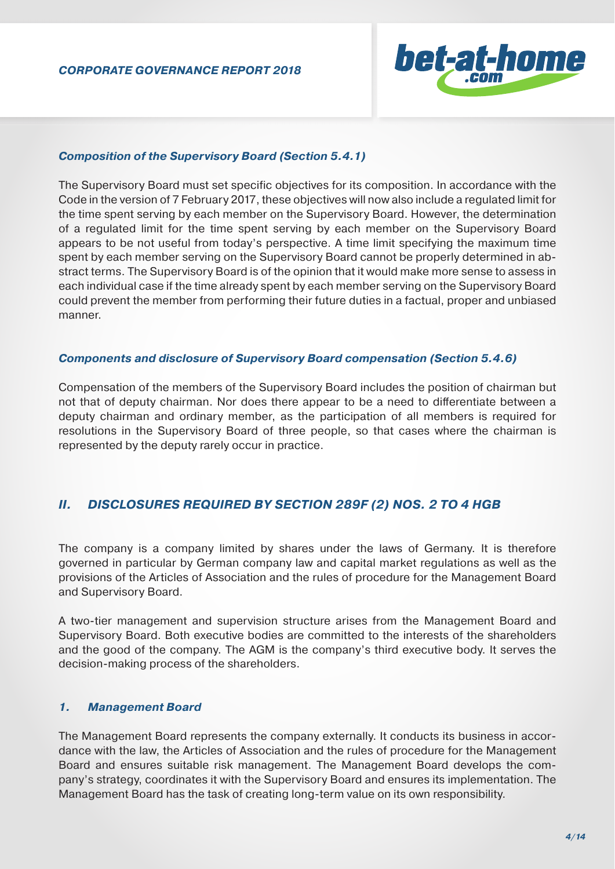

#### *Composition of the Supervisory Board (Section 5.4.1)*

The Supervisory Board must set specific objectives for its composition. In accordance with the Code in the version of 7 February 2017, these objectives will now also include a regulated limit for the time spent serving by each member on the Supervisory Board. However, the determination of a regulated limit for the time spent serving by each member on the Supervisory Board appears to be not useful from today's perspective. A time limit specifying the maximum time spent by each member serving on the Supervisory Board cannot be properly determined in abstract terms. The Supervisory Board is of the opinion that it would make more sense to assess in each individual case if the time already spent by each member serving on the Supervisory Board could prevent the member from performing their future duties in a factual, proper and unbiased manner.

#### *Components and disclosure of Supervisory Board compensation (Section 5.4.6)*

Compensation of the members of the Supervisory Board includes the position of chairman but not that of deputy chairman. Nor does there appear to be a need to differentiate between a deputy chairman and ordinary member, as the participation of all members is required for resolutions in the Supervisory Board of three people, so that cases where the chairman is represented by the deputy rarely occur in practice.

## *II. DISCLOSURES REQUIRED BY SECTION 289F (2) NOS. 2 TO 4 HGB*

The company is a company limited by shares under the laws of Germany. It is therefore governed in particular by German company law and capital market regulations as well as the provisions of the Articles of Association and the rules of procedure for the Management Board and Supervisory Board.

A two-tier management and supervision structure arises from the Management Board and Supervisory Board. Both executive bodies are committed to the interests of the shareholders and the good of the company. The AGM is the company's third executive body. It serves the decision-making process of the shareholders.

#### *1. Management Board*

The Management Board represents the company externally. It conducts its business in accordance with the law, the Articles of Association and the rules of procedure for the Management Board and ensures suitable risk management. The Management Board develops the company's strategy, coordinates it with the Supervisory Board and ensures its implementation. The Management Board has the task of creating long-term value on its own responsibility.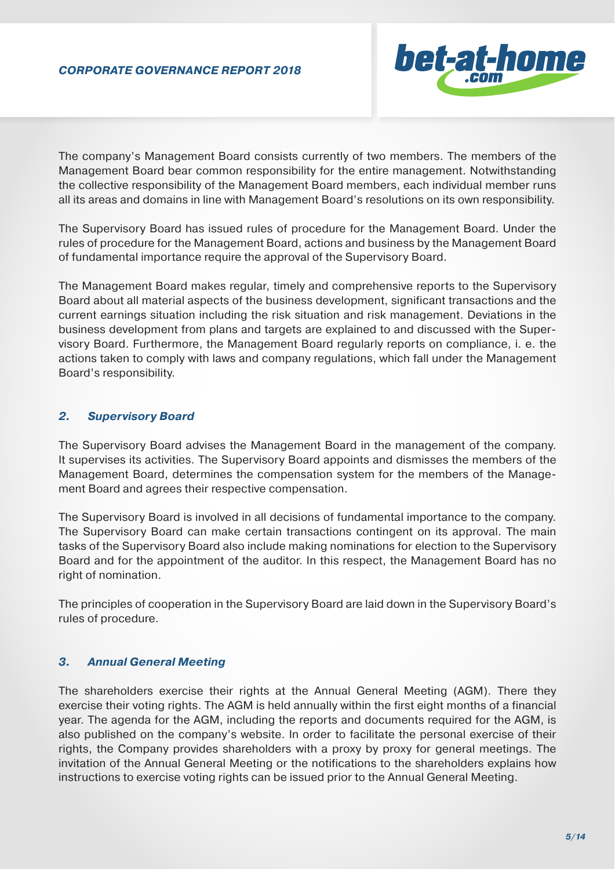

The company's Management Board consists currently of two members. The members of the Management Board bear common responsibility for the entire management. Notwithstanding the collective responsibility of the Management Board members, each individual member runs all its areas and domains in line with Management Board's resolutions on its own responsibility.

The Supervisory Board has issued rules of procedure for the Management Board. Under the rules of procedure for the Management Board, actions and business by the Management Board of fundamental importance require the approval of the Supervisory Board.

The Management Board makes regular, timely and comprehensive reports to the Supervisory Board about all material aspects of the business development, significant transactions and the current earnings situation including the risk situation and risk management. Deviations in the business development from plans and targets are explained to and discussed with the Supervisory Board. Furthermore, the Management Board regularly reports on compliance, i. e. the actions taken to comply with laws and company regulations, which fall under the Management Board's responsibility.

#### *2. Supervisory Board*

The Supervisory Board advises the Management Board in the management of the company. It supervises its activities. The Supervisory Board appoints and dismisses the members of the Management Board, determines the compensation system for the members of the Management Board and agrees their respective compensation.

The Supervisory Board is involved in all decisions of fundamental importance to the company. The Supervisory Board can make certain transactions contingent on its approval. The main tasks of the Supervisory Board also include making nominations for election to the Supervisory Board and for the appointment of the auditor. In this respect, the Management Board has no right of nomination.

The principles of cooperation in the Supervisory Board are laid down in the Supervisory Board's rules of procedure.

#### *3. Annual General Meeting*

The shareholders exercise their rights at the Annual General Meeting (AGM). There they exercise their voting rights. The AGM is held annually within the first eight months of a financial year. The agenda for the AGM, including the reports and documents required for the AGM, is also published on the company's website. In order to facilitate the personal exercise of their rights, the Company provides shareholders with a proxy by proxy for general meetings. The invitation of the Annual General Meeting or the notifications to the shareholders explains how instructions to exercise voting rights can be issued prior to the Annual General Meeting.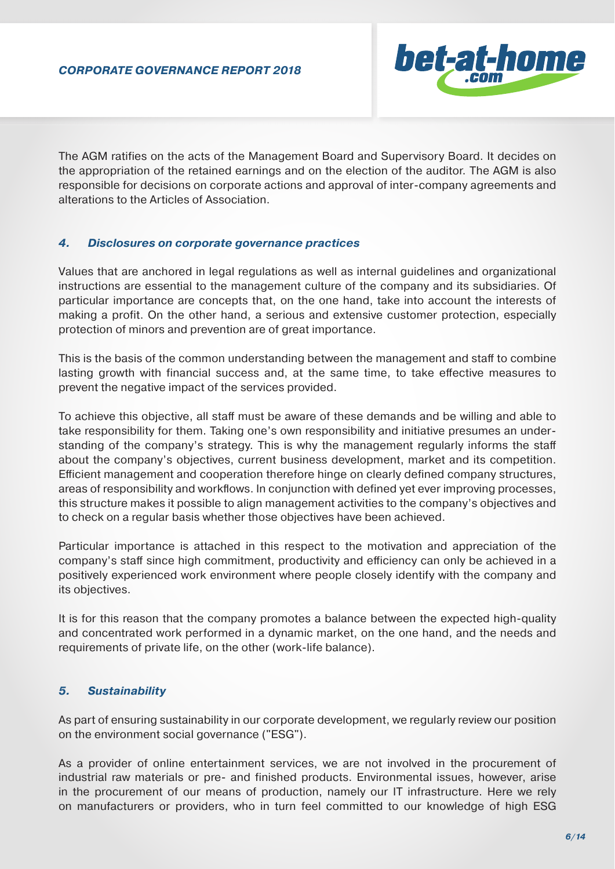

The AGM ratifies on the acts of the Management Board and Supervisory Board. It decides on the appropriation of the retained earnings and on the election of the auditor. The AGM is also responsible for decisions on corporate actions and approval of inter-company agreements and alterations to the Articles of Association.

#### *4. Disclosures on corporate governance practices*

Values that are anchored in legal regulations as well as internal guidelines and organizational instructions are essential to the management culture of the company and its subsidiaries. Of particular importance are concepts that, on the one hand, take into account the interests of making a profit. On the other hand, a serious and extensive customer protection, especially protection of minors and prevention are of great importance.

This is the basis of the common understanding between the management and staff to combine lasting growth with financial success and, at the same time, to take effective measures to prevent the negative impact of the services provided.

To achieve this objective, all staff must be aware of these demands and be willing and able to take responsibility for them. Taking one's own responsibility and initiative presumes an understanding of the company's strategy. This is why the management regularly informs the staff about the company's objectives, current business development, market and its competition. Efficient management and cooperation therefore hinge on clearly defined company structures, areas of responsibility and workflows. In conjunction with defined yet ever improving processes, this structure makes it possible to align management activities to the company's objectives and to check on a regular basis whether those objectives have been achieved.

Particular importance is attached in this respect to the motivation and appreciation of the company's staff since high commitment, productivity and efficiency can only be achieved in a positively experienced work environment where people closely identify with the company and its objectives.

It is for this reason that the company promotes a balance between the expected high-quality and concentrated work performed in a dynamic market, on the one hand, and the needs and requirements of private life, on the other (work-life balance).

## *5. Sustainability*

As part of ensuring sustainability in our corporate development, we regularly review our position on the environment social governance ("ESG").

As a provider of online entertainment services, we are not involved in the procurement of industrial raw materials or pre- and finished products. Environmental issues, however, arise in the procurement of our means of production, namely our IT infrastructure. Here we rely on manufacturers or providers, who in turn feel committed to our knowledge of high ESG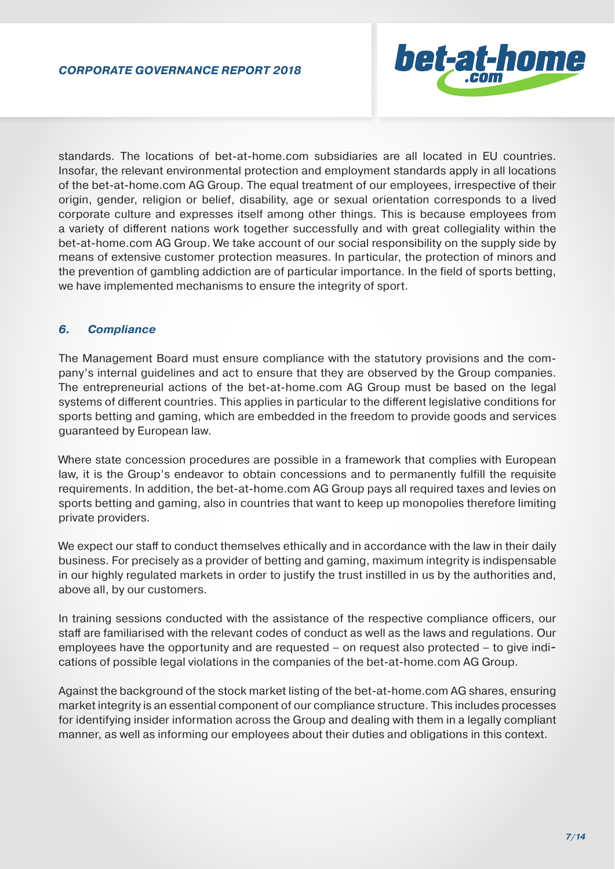

standards. The locations of bet-at-home.com subsidiaries are all located in EU countries. Insofar, the relevant environmental protection and employment standards apply in all locations of the bet-at-home.com AG Group. The equal treatment of our employees, irrespective of their origin, gender, religion or belief, disability, age or sexual orientation corresponds to a lived corporate culture and expresses itself among other things. This is because employees from a variety of different nations work together successfully and with great collegiality within the bet-at-home.com AG Group. We take account of our social responsibility on the supply side by means of extensive customer protection measures. In particular, the protection of minors and the prevention of gambling addiction are of particular importance. In the field of sports betting, we have implemented mechanisms to ensure the integrity of sport.

## *6. Compliance*

The Management Board must ensure compliance with the statutory provisions and the company's internal guidelines and act to ensure that they are observed by the Group companies. The entrepreneurial actions of the bet-at-home.com AG Group must be based on the legal systems of different countries. This applies in particular to the different legislative conditions for sports betting and gaming, which are embedded in the freedom to provide goods and services guaranteed by European law.

Where state concession procedures are possible in a framework that complies with European law, it is the Group's endeavor to obtain concessions and to permanently fulfill the requisite requirements. In addition, the bet-at-home.com AG Group pays all required taxes and levies on sports betting and gaming, also in countries that want to keep up monopolies therefore limiting private providers.

We expect our staff to conduct themselves ethically and in accordance with the law in their daily business. For precisely as a provider of betting and gaming, maximum integrity is indispensable in our highly regulated markets in order to justify the trust instilled in us by the authorities and, above all, by our customers.

In training sessions conducted with the assistance of the respective compliance officers, our staff are familiarised with the relevant codes of conduct as well as the laws and regulations. Our employees have the opportunity and are requested – on request also protected – to give indications of possible legal violations in the companies of the bet-at-home.com AG Group.

Against the background of the stock market listing of the bet-at-home.com AG shares, ensuring market integrity is an essential component of our compliance structure. This includes processes for identifying insider information across the Group and dealing with them in a legally compliant manner, as well as informing our employees about their duties and obligations in this context.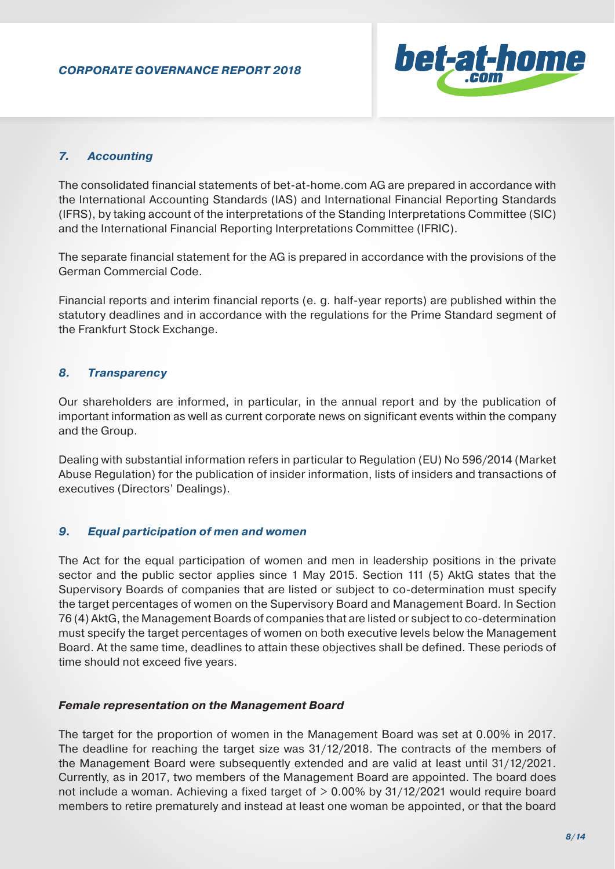

## *7. Accounting*

The consolidated financial statements of bet-at-home.com AG are prepared in accordance with the International Accounting Standards (IAS) and International Financial Reporting Standards (IFRS), by taking account of the interpretations of the Standing Interpretations Committee (SIC) and the International Financial Reporting Interpretations Committee (IFRIC).

The separate financial statement for the AG is prepared in accordance with the provisions of the German Commercial Code.

Financial reports and interim financial reports (e. g. half-year reports) are published within the statutory deadlines and in accordance with the regulations for the Prime Standard segment of the Frankfurt Stock Exchange.

## *8. Transparency*

Our shareholders are informed, in particular, in the annual report and by the publication of important information as well as current corporate news on significant events within the company and the Group.

Dealing with substantial information refers in particular to Regulation (EU) No 596/2014 (Market Abuse Regulation) for the publication of insider information, lists of insiders and transactions of executives (Directors' Dealings).

## *9. Equal participation of men and women*

The Act for the equal participation of women and men in leadership positions in the private sector and the public sector applies since 1 May 2015. Section 111 (5) AktG states that the Supervisory Boards of companies that are listed or subject to co-determination must specify the target percentages of women on the Supervisory Board and Management Board. In Section 76 (4) AktG, the Management Boards of companies that are listed or subject to co-determination must specify the target percentages of women on both executive levels below the Management Board. At the same time, deadlines to attain these objectives shall be defined. These periods of time should not exceed five years.

## *Female representation on the Management Board*

The target for the proportion of women in the Management Board was set at 0.00% in 2017. The deadline for reaching the target size was 31/12/2018. The contracts of the members of the Management Board were subsequently extended and are valid at least until 31/12/2021. Currently, as in 2017, two members of the Management Board are appointed. The board does not include a woman. Achieving a fixed target of > 0.00% by 31/12/2021 would require board members to retire prematurely and instead at least one woman be appointed, or that the board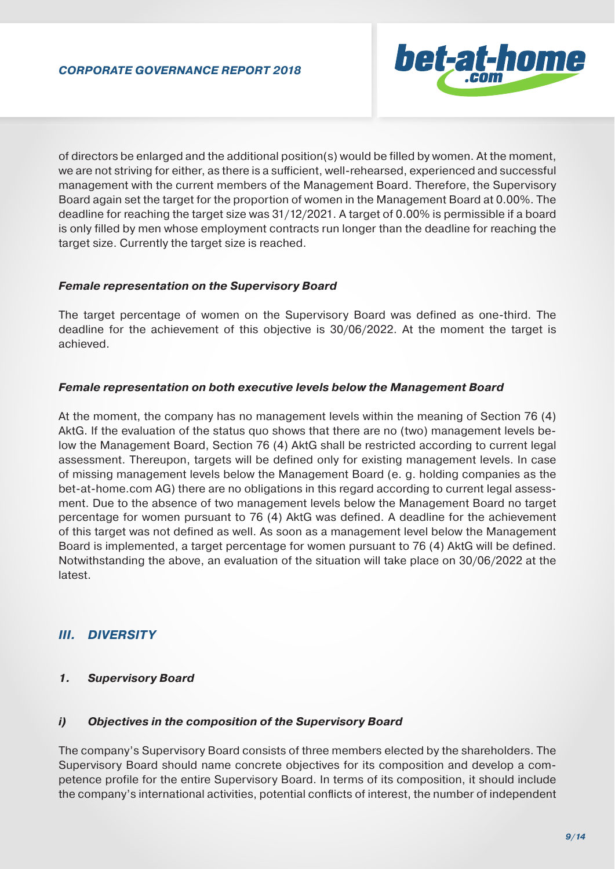

of directors be enlarged and the additional position(s) would be filled by women. At the moment, we are not striving for either, as there is a sufficient, well-rehearsed, experienced and successful management with the current members of the Management Board. Therefore, the Supervisory Board again set the target for the proportion of women in the Management Board at 0.00%. The deadline for reaching the target size was 31/12/2021. A target of 0.00% is permissible if a board is only filled by men whose employment contracts run longer than the deadline for reaching the target size. Currently the target size is reached.

## *Female representation on the Supervisory Board*

The target percentage of women on the Supervisory Board was defined as one-third. The deadline for the achievement of this objective is 30/06/2022. At the moment the target is achieved.

#### *Female representation on both executive levels below the Management Board*

At the moment, the company has no management levels within the meaning of Section 76 (4) AktG. If the evaluation of the status quo shows that there are no (two) management levels below the Management Board, Section 76 (4) AktG shall be restricted according to current legal assessment. Thereupon, targets will be defined only for existing management levels. In case of missing management levels below the Management Board (e. g. holding companies as the bet-at-home.com AG) there are no obligations in this regard according to current legal assessment. Due to the absence of two management levels below the Management Board no target percentage for women pursuant to 76 (4) AktG was defined. A deadline for the achievement of this target was not defined as well. As soon as a management level below the Management Board is implemented, a target percentage for women pursuant to 76 (4) AktG will be defined. Notwithstanding the above, an evaluation of the situation will take place on 30/06/2022 at the latest.

## *III. DIVERSITY*

## *1. Supervisory Board*

## *i) Objectives in the composition of the Supervisory Board*

The company's Supervisory Board consists of three members elected by the shareholders. The Supervisory Board should name concrete objectives for its composition and develop a competence profile for the entire Supervisory Board. In terms of its composition, it should include the company's international activities, potential conflicts of interest, the number of independent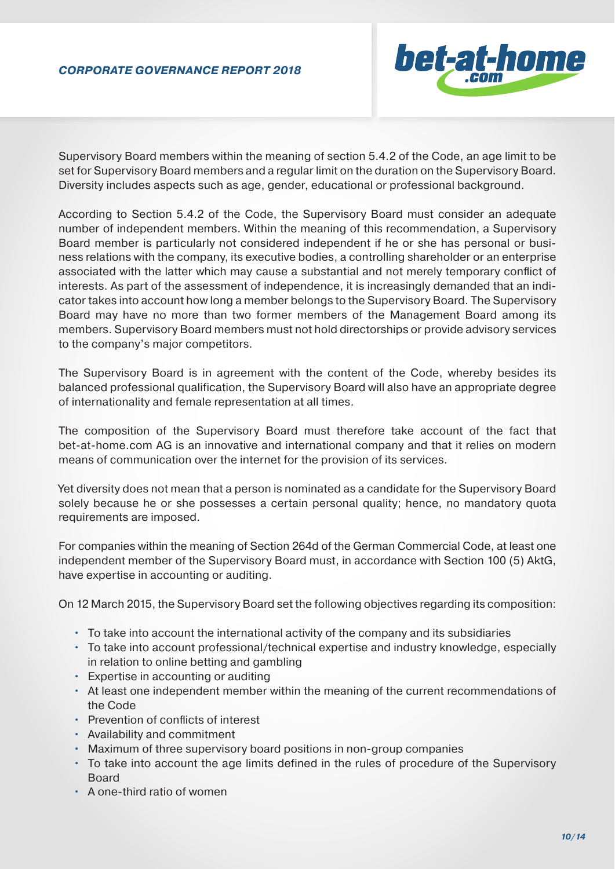

Supervisory Board members within the meaning of section 5.4.2 of the Code, an age limit to be set for Supervisory Board members and a regular limit on the duration on the Supervisory Board. Diversity includes aspects such as age, gender, educational or professional background.

According to Section 5.4.2 of the Code, the Supervisory Board must consider an adequate number of independent members. Within the meaning of this recommendation, a Supervisory Board member is particularly not considered independent if he or she has personal or business relations with the company, its executive bodies, a controlling shareholder or an enterprise associated with the latter which may cause a substantial and not merely temporary conflict of interests. As part of the assessment of independence, it is increasingly demanded that an indicator takes into account how long a member belongs to the Supervisory Board. The Supervisory Board may have no more than two former members of the Management Board among its members. Supervisory Board members must not hold directorships or provide advisory services to the company's major competitors.

The Supervisory Board is in agreement with the content of the Code, whereby besides its balanced professional qualification, the Supervisory Board will also have an appropriate degree of internationality and female representation at all times.

The composition of the Supervisory Board must therefore take account of the fact that bet-at-home.com AG is an innovative and international company and that it relies on modern means of communication over the internet for the provision of its services.

Yet diversity does not mean that a person is nominated as a candidate for the Supervisory Board solely because he or she possesses a certain personal quality; hence, no mandatory quota requirements are imposed.

For companies within the meaning of Section 264d of the German Commercial Code, at least one independent member of the Supervisory Board must, in accordance with Section 100 (5) AktG, have expertise in accounting or auditing.

On 12 March 2015, the Supervisory Board set the following objectives regarding its composition:

- To take into account the international activity of the company and its subsidiaries
- To take into account professional/technical expertise and industry knowledge, especially in relation to online betting and gambling
- Expertise in accounting or auditing
- At least one independent member within the meaning of the current recommendations of the Code
- Prevention of conflicts of interest
- Availability and commitment
- Maximum of three supervisory board positions in non-group companies
- To take into account the age limits defined in the rules of procedure of the Supervisory Board
- A one-third ratio of women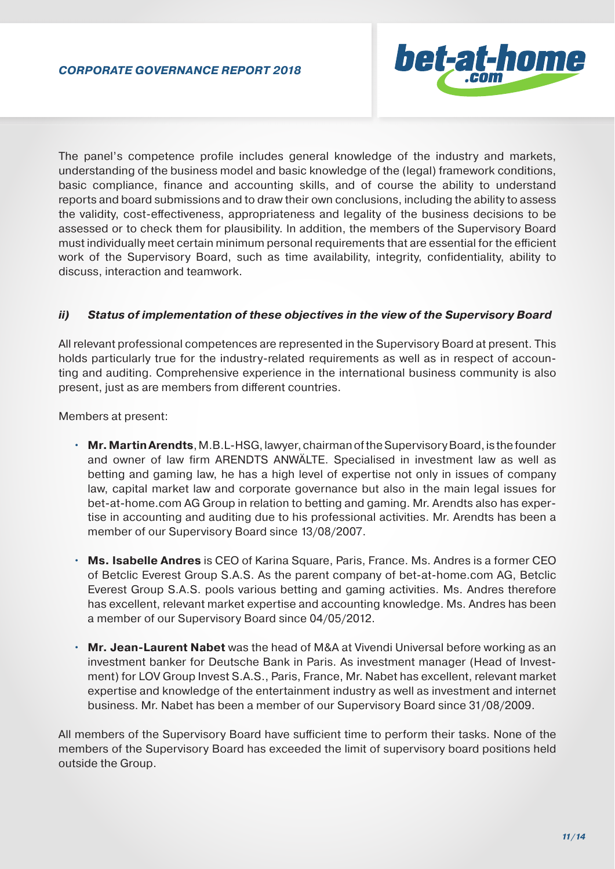

The panel's competence profile includes general knowledge of the industry and markets, understanding of the business model and basic knowledge of the (legal) framework conditions, basic compliance, finance and accounting skills, and of course the ability to understand reports and board submissions and to draw their own conclusions, including the ability to assess the validity, cost-effectiveness, appropriateness and legality of the business decisions to be assessed or to check them for plausibility. In addition, the members of the Supervisory Board must individually meet certain minimum personal requirements that are essential for the efficient work of the Supervisory Board, such as time availability, integrity, confidentiality, ability to discuss, interaction and teamwork.

## *ii) Status of implementation of these objectives in the view of the Supervisory Board*

All relevant professional competences are represented in the Supervisory Board at present. This holds particularly true for the industry-related requirements as well as in respect of accounting and auditing. Comprehensive experience in the international business community is also present, just as are members from different countries.

Members at present:

- **Mr. Martin Arendts**, M.B.L-HSG, lawyer, chairman of the Supervisory Board, is the founder and owner of law firm ARENDTS ANWÄLTE. Specialised in investment law as well as betting and gaming law, he has a high level of expertise not only in issues of company law, capital market law and corporate governance but also in the main legal issues for bet-at-home.com AG Group in relation to betting and gaming. Mr. Arendts also has expertise in accounting and auditing due to his professional activities. Mr. Arendts has been a member of our Supervisory Board since 13/08/2007.
- **Ms. Isabelle Andres** is CEO of Karina Square, Paris, France. Ms. Andres is a former CEO of Betclic Everest Group S.A.S. As the parent company of bet-at-home.com AG, Betclic Everest Group S.A.S. pools various betting and gaming activities. Ms. Andres therefore has excellent, relevant market expertise and accounting knowledge. Ms. Andres has been a member of our Supervisory Board since 04/05/2012.
- **Mr. Jean-Laurent Nabet** was the head of M&A at Vivendi Universal before working as an investment banker for Deutsche Bank in Paris. As investment manager (Head of Investment) for LOV Group Invest S.A.S., Paris, France, Mr. Nabet has excellent, relevant market expertise and knowledge of the entertainment industry as well as investment and internet business. Mr. Nabet has been a member of our Supervisory Board since 31/08/2009.

All members of the Supervisory Board have sufficient time to perform their tasks. None of the members of the Supervisory Board has exceeded the limit of supervisory board positions held outside the Group.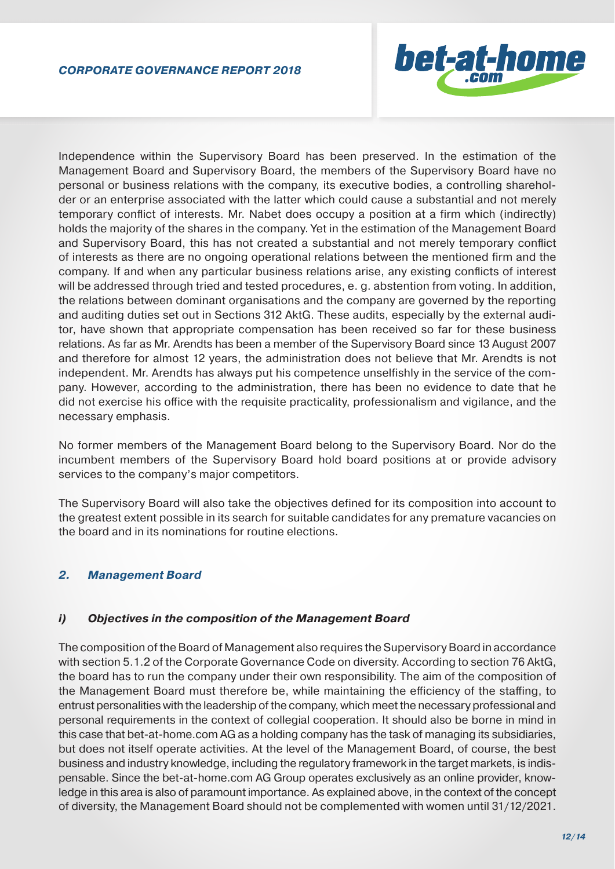

Independence within the Supervisory Board has been preserved. In the estimation of the Management Board and Supervisory Board, the members of the Supervisory Board have no personal or business relations with the company, its executive bodies, a controlling shareholder or an enterprise associated with the latter which could cause a substantial and not merely temporary conflict of interests. Mr. Nabet does occupy a position at a firm which (indirectly) holds the majority of the shares in the company. Yet in the estimation of the Management Board and Supervisory Board, this has not created a substantial and not merely temporary conflict of interests as there are no ongoing operational relations between the mentioned firm and the company. If and when any particular business relations arise, any existing conflicts of interest will be addressed through tried and tested procedures, e. g. abstention from voting. In addition, the relations between dominant organisations and the company are governed by the reporting and auditing duties set out in Sections 312 AktG. These audits, especially by the external auditor, have shown that appropriate compensation has been received so far for these business relations. As far as Mr. Arendts has been a member of the Supervisory Board since 13 August 2007 and therefore for almost 12 years, the administration does not believe that Mr. Arendts is not independent. Mr. Arendts has always put his competence unselfishly in the service of the company. However, according to the administration, there has been no evidence to date that he did not exercise his office with the requisite practicality, professionalism and vigilance, and the necessary emphasis.

No former members of the Management Board belong to the Supervisory Board. Nor do the incumbent members of the Supervisory Board hold board positions at or provide advisory services to the company's major competitors.

The Supervisory Board will also take the objectives defined for its composition into account to the greatest extent possible in its search for suitable candidates for any premature vacancies on the board and in its nominations for routine elections.

## *2. Management Board*

## *i) Objectives in the composition of the Management Board*

The composition of the Board of Management also requires the Supervisory Board in accordance with section 5.1.2 of the Corporate Governance Code on diversity. According to section 76 AktG, the board has to run the company under their own responsibility. The aim of the composition of the Management Board must therefore be, while maintaining the efficiency of the staffing, to entrust personalities with the leadership of the company, which meet the necessary professional and personal requirements in the context of collegial cooperation. It should also be borne in mind in this case that bet-at-home.com AG as a holding company has the task of managing its subsidiaries, but does not itself operate activities. At the level of the Management Board, of course, the best business and industry knowledge, including the regulatory framework in the target markets, is indispensable. Since the bet-at-home.com AG Group operates exclusively as an online provider, knowledge in this area is also of paramount importance. As explained above, in the context of the concept of diversity, the Management Board should not be complemented with women until 31/12/2021.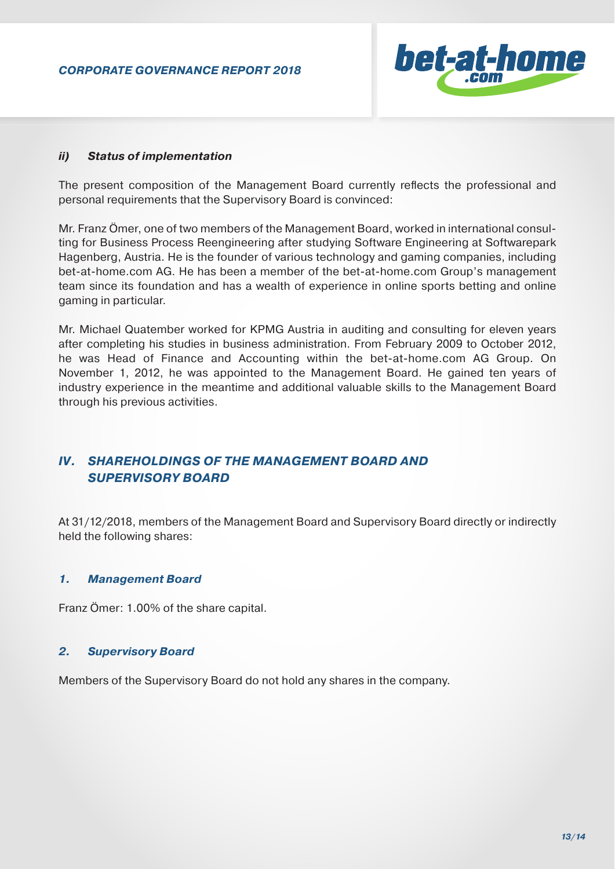

#### *ii) Status of implementation*

The present composition of the Management Board currently reflects the professional and personal requirements that the Supervisory Board is convinced:

Mr. Franz Ömer, one of two members of the Management Board, worked in international consulting for Business Process Reengineering after studying Software Engineering at Softwarepark Hagenberg, Austria. He is the founder of various technology and gaming companies, including bet-at-home.com AG. He has been a member of the bet-at-home.com Group's management team since its foundation and has a wealth of experience in online sports betting and online gaming in particular.

Mr. Michael Quatember worked for KPMG Austria in auditing and consulting for eleven years after completing his studies in business administration. From February 2009 to October 2012, he was Head of Finance and Accounting within the bet-at-home.com AG Group. On November 1, 2012, he was appointed to the Management Board. He gained ten years of industry experience in the meantime and additional valuable skills to the Management Board through his previous activities.

## *IV. SHAREHOLDINGS OF THE MANAGEMENT BOARD AND SUPERVISORY BOARD*

At 31/12/2018, members of the Management Board and Supervisory Board directly or indirectly held the following shares:

#### *1. Management Board*

Franz Ömer: 1.00% of the share capital.

#### *2. Supervisory Board*

Members of the Supervisory Board do not hold any shares in the company.